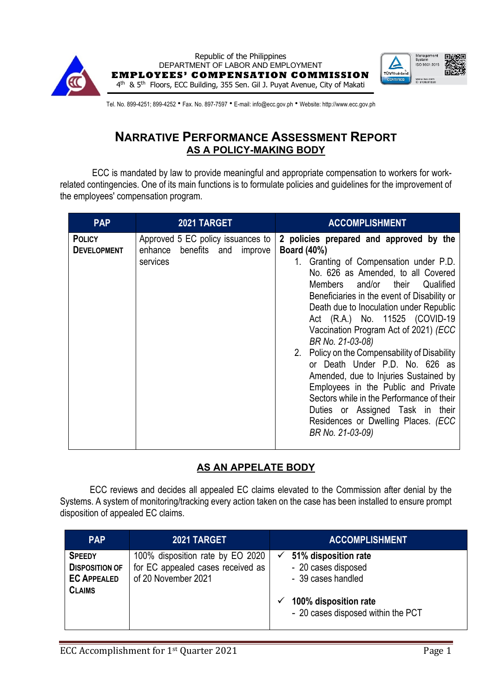



Tel. No. 899-4251; 899-4252 • Fax. No. 897-7597 • E-mail: info@ecc.gov.ph • Website: http://www.ecc.gov.ph

## **NARRATIVE PERFORMANCE ASSESSMENT REPORT AS A POLICY-MAKING BODY**

ECC is mandated by law to provide meaningful and appropriate compensation to workers for workrelated contingencies. One of its main functions is to formulate policies and guidelines for the improvement of the employees' compensation program.

| <b>PAP</b>                          | 2021 TARGET                                                                   | <b>ACCOMPLISHMENT</b>                                                                                                                                                                                                                                                                                                                                                                                                                                                                                                                                                                                                                                                                      |
|-------------------------------------|-------------------------------------------------------------------------------|--------------------------------------------------------------------------------------------------------------------------------------------------------------------------------------------------------------------------------------------------------------------------------------------------------------------------------------------------------------------------------------------------------------------------------------------------------------------------------------------------------------------------------------------------------------------------------------------------------------------------------------------------------------------------------------------|
| <b>POLICY</b><br><b>DEVELOPMENT</b> | Approved 5 EC policy issuances to<br>enhance benefits and improve<br>services | 2 policies prepared and approved by the<br><b>Board (40%)</b><br>1. Granting of Compensation under P.D.<br>No. 626 as Amended, to all Covered<br>Members and/or their<br>Qualified<br>Beneficiaries in the event of Disability or<br>Death due to Inoculation under Republic<br>Act (R.A.) No. 11525 (COVID-19<br>Vaccination Program Act of 2021) (ECC<br>BR No. 21-03-08)<br>2. Policy on the Compensability of Disability<br>or Death Under P.D. No. 626 as<br>Amended, due to Injuries Sustained by<br>Employees in the Public and Private<br>Sectors while in the Performance of their<br>Duties or Assigned Task in their<br>Residences or Dwelling Places. (ECC<br>BR No. 21-03-09) |

## **AS AN APPELATE BODY**

ECC reviews and decides all appealed EC claims elevated to the Commission after denial by the Systems. A system of monitoring/tracking every action taken on the case has been installed to ensure prompt disposition of appealed EC claims.

| <b>PAP</b>                                                                    | <b>2021 TARGET</b>                                                                           | <b>ACCOMPLISHMENT</b>                                                                                                                            |
|-------------------------------------------------------------------------------|----------------------------------------------------------------------------------------------|--------------------------------------------------------------------------------------------------------------------------------------------------|
| <b>SPEEDY</b><br><b>DISPOSITION OF</b><br><b>EC APPEALED</b><br><b>CLAIMS</b> | 100% disposition rate by EO 2020<br>for EC appealed cases received as<br>of 20 November 2021 | 51% disposition rate<br>$\checkmark$<br>- 20 cases disposed<br>- 39 cases handled<br>100% disposition rate<br>- 20 cases disposed within the PCT |